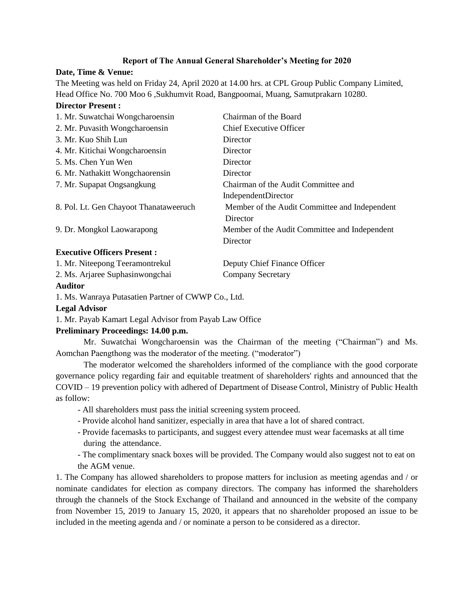#### **Report of The Annual General Shareholder's Meeting for 2020**

#### **Date, Time & Venue:**

The Meeting was held on Friday 24, April 2020 at 14.00 hrs. at CPL Group Public Company Limited, Head Office No. 700 Moo 6 ,Sukhumvit Road, Bangpoomai, Muang, Samutprakarn 10280.

#### **Director Present :**

|                                        | Chairman of the Board                         |
|----------------------------------------|-----------------------------------------------|
| 1. Mr. Suwatchai Wongcharoensin        |                                               |
| 2. Mr. Puvasith Wongcharoensin         | <b>Chief Executive Officer</b>                |
| 3. Mr. Kuo Shih Lun                    | Director                                      |
| 4. Mr. Kitichai Wongcharoensin         | Director                                      |
| 5. Ms. Chen Yun Wen                    | Director                                      |
| 6. Mr. Nathakitt Wongchaorensin        | Director                                      |
| 7. Mr. Supapat Ongsangkung             | Chairman of the Audit Committee and           |
|                                        | IndependentDirector                           |
| 8. Pol. Lt. Gen Chayoot Thanataweeruch | Member of the Audit Committee and Independent |
|                                        | Director                                      |
| 9. Dr. Mongkol Laowarapong             | Member of the Audit Committee and Independent |
|                                        | Director                                      |
| <b>Executive Officers Present:</b>     |                                               |

| 1. Mr. Niteepong Teeramontrekul | Deputy Chief Finance Officer |
|---------------------------------|------------------------------|
| 2. Ms. Arjaree Suphasinwongchai | <b>Company Secretary</b>     |

#### **Auditor**

1. Ms. Wanraya Putasatien Partner of CWWP Co., Ltd.

#### **Legal Advisor**

1. Mr. Payab Kamart Legal Advisor from Payab Law Office

#### **Preliminary Proceedings: 14.00 p.m.**

Mr. Suwatchai Wongcharoensin was the Chairman of the meeting ("Chairman") and Ms. Aomchan Paengthong was the moderator of the meeting. ("moderator")

The moderator welcomed the shareholders informed of the compliance with the good corporate governance policy regarding fair and equitable treatment of shareholders' rights and announced that the COVID – 19 prevention policy with adhered of Department of Disease Control, Ministry of Public Health as follow:

- All shareholders must pass the initial screening system proceed.
- Provide alcohol hand sanitizer, especially in area that have a lot of shared contract.
- Provide facemasks to participants, and suggest every attendee must wear facemasks at all time during the attendance.
- The complimentary snack boxes will be provided. The Company would also suggest not to eat on the AGM venue.

1. The Company has allowed shareholders to propose matters for inclusion as meeting agendas and / or nominate candidates for election as company directors. The company has informed the shareholders through the channels of the Stock Exchange of Thailand and announced in the website of the company from November 15, 2019 to January 15, 2020, it appears that no shareholder proposed an issue to be included in the meeting agenda and / or nominate a person to be considered as a director.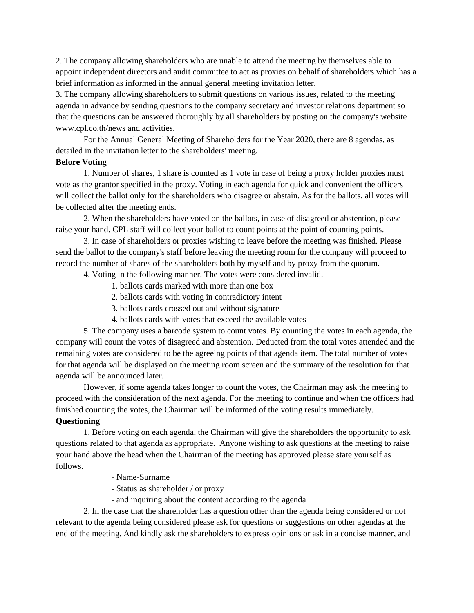2. The company allowing shareholders who are unable to attend the meeting by themselves able to appoint independent directors and audit committee to act as proxies on behalf of shareholders which has a brief information as informed in the annual general meeting invitation letter.

3. The company allowing shareholders to submit questions on various issues, related to the meeting agenda in advance by sending questions to the company secretary and investor relations department so that the questions can be answered thoroughly by all shareholders by posting on the company's website www.cpl.co.th/news and activities.

For the Annual General Meeting of Shareholders for the Year 2020, there are 8 agendas, as detailed in the invitation letter to the shareholders' meeting.

## **Before Voting**

1. Number of shares, 1 share is counted as 1 vote in case of being a proxy holder proxies must vote as the grantor specified in the proxy. Voting in each agenda for quick and convenient the officers will collect the ballot only for the shareholders who disagree or abstain. As for the ballots, all votes will be collected after the meeting ends.

2. When the shareholders have voted on the ballots, in case of disagreed or abstention, please raise your hand. CPL staff will collect your ballot to count points at the point of counting points.

3. In case of shareholders or proxies wishing to leave before the meeting was finished. Please send the ballot to the company's staff before leaving the meeting room for the company will proceed to record the number of shares of the shareholders both by myself and by proxy from the quorum.

4. Voting in the following manner. The votes were considered invalid.

- 1. ballots cards marked with more than one box
- 2. ballots cards with voting in contradictory intent
- 3. ballots cards crossed out and without signature
- 4. ballots cards with votes that exceed the available votes

5. The company uses a barcode system to count votes. By counting the votes in each agenda, the company will count the votes of disagreed and abstention. Deducted from the total votes attended and the remaining votes are considered to be the agreeing points of that agenda item. The total number of votes for that agenda will be displayed on the meeting room screen and the summary of the resolution for that agenda will be announced later.

However, if some agenda takes longer to count the votes, the Chairman may ask the meeting to proceed with the consideration of the next agenda. For the meeting to continue and when the officers had finished counting the votes, the Chairman will be informed of the voting results immediately. **Questioning**

# 1. Before voting on each agenda, the Chairman will give the shareholders the opportunity to ask

questions related to that agenda as appropriate. Anyone wishing to ask questions at the meeting to raise your hand above the head when the Chairman of the meeting has approved please state yourself as follows.

- Name-Surname
- Status as shareholder / or proxy
- and inquiring about the content according to the agenda

2. In the case that the shareholder has a question other than the agenda being considered or not relevant to the agenda being considered please ask for questions or suggestions on other agendas at the end of the meeting. And kindly ask the shareholders to express opinions or ask in a concise manner, and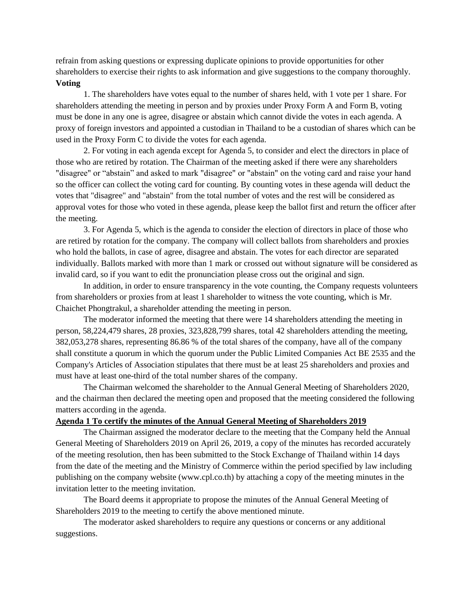refrain from asking questions or expressing duplicate opinions to provide opportunities for other shareholders to exercise their rights to ask information and give suggestions to the company thoroughly. **Voting**

1. The shareholders have votes equal to the number of shares held, with 1 vote per 1 share. For shareholders attending the meeting in person and by proxies under Proxy Form A and Form B, voting must be done in any one is agree, disagree or abstain which cannot divide the votes in each agenda. A proxy of foreign investors and appointed a custodian in Thailand to be a custodian of shares which can be used in the Proxy Form C to divide the votes for each agenda.

2. For voting in each agenda except for Agenda 5, to consider and elect the directors in place of those who are retired by rotation. The Chairman of the meeting asked if there were any shareholders "disagree" or "abstain" and asked to mark "disagree" or "abstain" on the voting card and raise your hand so the officer can collect the voting card for counting. By counting votes in these agenda will deduct the votes that "disagree" and "abstain" from the total number of votes and the rest will be considered as approval votes for those who voted in these agenda, please keep the ballot first and return the officer after the meeting.

3. For Agenda 5, which is the agenda to consider the election of directors in place of those who are retired by rotation for the company. The company will collect ballots from shareholders and proxies who hold the ballots, in case of agree, disagree and abstain. The votes for each director are separated individually. Ballots marked with more than 1 mark or crossed out without signature will be considered as invalid card, so if you want to edit the pronunciation please cross out the original and sign.

In addition, in order to ensure transparency in the vote counting, the Company requests volunteers from shareholders or proxies from at least 1 shareholder to witness the vote counting, which is Mr. Chaichet Phongtrakul, a shareholder attending the meeting in person.

The moderator informed the meeting that there were 14 shareholders attending the meeting in person, 58,224,479 shares, 28 proxies, 323,828,799 shares, total 42 shareholders attending the meeting, 382,053,278 shares, representing 86.86 % of the total shares of the company, have all of the company shall constitute a quorum in which the quorum under the Public Limited Companies Act BE 2535 and the Company's Articles of Association stipulates that there must be at least 25 shareholders and proxies and must have at least one-third of the total number shares of the company.

The Chairman welcomed the shareholder to the Annual General Meeting of Shareholders 2020, and the chairman then declared the meeting open and proposed that the meeting considered the following matters according in the agenda.

#### **Agenda 1 To certify the minutes of the Annual General Meeting of Shareholders 2019**

The Chairman assigned the moderator declare to the meeting that the Company held the Annual General Meeting of Shareholders 2019 on April 26, 2019, a copy of the minutes has recorded accurately of the meeting resolution, then has been submitted to the Stock Exchange of Thailand within 14 days from the date of the meeting and the Ministry of Commerce within the period specified by law including publishing on the company website (www.cpl.co.th) by attaching a copy of the meeting minutes in the invitation letter to the meeting invitation.

The Board deems it appropriate to propose the minutes of the Annual General Meeting of Shareholders 2019 to the meeting to certify the above mentioned minute.

The moderator asked shareholders to require any questions or concerns or any additional suggestions.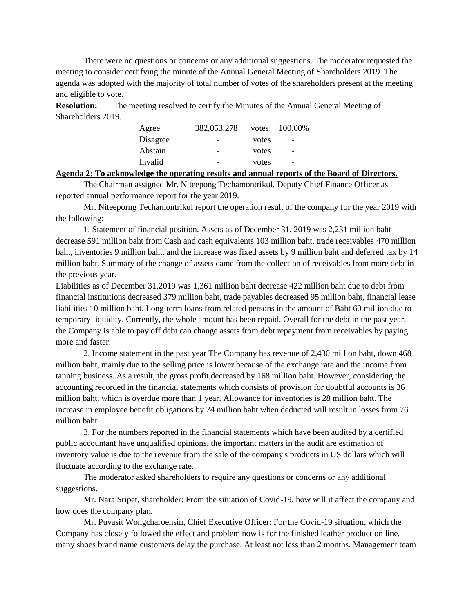There were no questions or concerns or any additional suggestions. The moderator requested the meeting to consider certifying the minute of the Annual General Meeting of Shareholders 2019. The agenda was adopted with the majority of total number of votes of the shareholders present at the meeting and eligible to vote.

**Resolution:** The meeting resolved to certify the Minutes of the Annual General Meeting of Shareholders 2019.

| Agree    | 382,053,278              | votes | 100.00%                  |
|----------|--------------------------|-------|--------------------------|
| Disagree | $\overline{\phantom{a}}$ | votes | $\overline{\phantom{0}}$ |
| Abstain  |                          | votes | $\overline{\phantom{0}}$ |
| Invalid  | -                        | votes | $\overline{\phantom{0}}$ |

#### **Agenda 2: To acknowledge the operating results and annual reports of the Board of Directors.**

The Chairman assigned Mr. Niteepong Techamontrikul, Deputy Chief Finance Officer as reported annual performance report for the year 2019.

Mr. Niteeporng Techamontrikul report the operation result of the company for the year 2019 with the following:

1. Statement of financial position. Assets as of December 31, 2019 was 2,231 million baht decrease 591 million baht from Cash and cash equivalents 103 million baht, trade receivables 470 million baht, inventories 9 million baht, and the increase was fixed assets by 9 million baht and deferred tax by 14 million baht. Summary of the change of assets came from the collection of receivables from more debt in the previous year.

Liabilities as of December 31,2019 was 1,361 million baht decrease 422 million baht due to debt from financial institutions decreased 379 million baht, trade payables decreased 95 million baht, financial lease liabilities 10 million baht. Long-term loans from related persons in the amount of Baht 60 million due to temporary liquidity. Currently, the whole amount has been repaid. Overall for the debt in the past year, the Company is able to pay off debt can change assets from debt repayment from receivables by paying more and faster.

2. Income statement in the past year The Company has revenue of 2,430 million baht, down 468 million baht, mainly due to the selling price is lower because of the exchange rate and the income from tanning business. As a result, the gross profit decreased by 168 million baht. However, considering the accounting recorded in the financial statements which consists of provision for doubtful accounts is 36 million baht, which is overdue more than 1 year. Allowance for inventories is 28 million baht. The increase in employee benefit obligations by 24 million baht when deducted will result in losses from 76 million baht.

3. For the numbers reported in the financial statements which have been audited by a certified public accountant have unqualified opinions, the important matters in the audit are estimation of inventory value is due to the revenue from the sale of the company's products in US dollars which will fluctuate according to the exchange rate.

The moderator asked shareholders to require any questions or concerns or any additional suggestions.

Mr. Nara Sripet, shareholder: From the situation of Covid-19, how will it affect the company and how does the company plan.

Mr. Puvasit Wongcharoensin, Chief Executive Officer: For the Covid-19 situation, which the Company has closely followed the effect and problem now is for the finished leather production line, many shoes brand name customers delay the purchase. At least not less than 2 months. Management team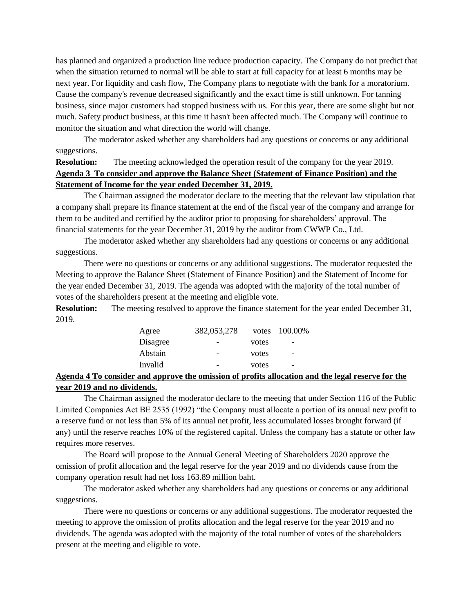has planned and organized a production line reduce production capacity. The Company do not predict that when the situation returned to normal will be able to start at full capacity for at least 6 months may be next year. For liquidity and cash flow, The Company plans to negotiate with the bank for a moratorium. Cause the company's revenue decreased significantly and the exact time is still unknown. For tanning business, since major customers had stopped business with us. For this year, there are some slight but not much. Safety product business, at this time it hasn't been affected much. The Company will continue to monitor the situation and what direction the world will change.

The moderator asked whether any shareholders had any questions or concerns or any additional suggestions.

# **Resolution:** The meeting acknowledged the operation result of the company for the year 2019. **Agenda 3 To consider and approve the Balance Sheet (Statement of Finance Position) and the Statement of Income for the year ended December 31, 2019.**

The Chairman assigned the moderator declare to the meeting that the relevant law stipulation that a company shall prepare its finance statement at the end of the fiscal year of the company and arrange for them to be audited and certified by the auditor prior to proposing for shareholders' approval. The financial statements for the year December 31, 2019 by the auditor from CWWP Co., Ltd.

The moderator asked whether any shareholders had any questions or concerns or any additional suggestions.

There were no questions or concerns or any additional suggestions. The moderator requested the Meeting to approve the Balance Sheet (Statement of Finance Position) and the Statement of Income for the year ended December 31, 2019. The agenda was adopted with the majority of the total number of votes of the shareholders present at the meeting and eligible vote.

**Resolution:** The meeting resolved to approve the finance statement for the year ended December 31, 2019.

| Agree    | 382,053,278              |       | votes 100.00%            |
|----------|--------------------------|-------|--------------------------|
| Disagree | $\overline{\phantom{0}}$ | votes | $\overline{\phantom{0}}$ |
| Abstain  | -                        | votes | $\overline{\phantom{0}}$ |
| Invalid  |                          | votes | $\overline{\phantom{0}}$ |
|          |                          |       |                          |

# **Agenda 4 To consider and approve the omission of profits allocation and the legal reserve for the year 2019 and no dividends.**

The Chairman assigned the moderator declare to the meeting that under Section 116 of the Public Limited Companies Act BE 2535 (1992) "the Company must allocate a portion of its annual new profit to a reserve fund or not less than 5% of its annual net profit, less accumulated losses brought forward (if any) until the reserve reaches 10% of the registered capital. Unless the company has a statute or other law requires more reserves.

The Board will propose to the Annual General Meeting of Shareholders 2020 approve the omission of profit allocation and the legal reserve for the year 2019 and no dividends cause from the company operation result had net loss 163.89 million baht.

The moderator asked whether any shareholders had any questions or concerns or any additional suggestions.

There were no questions or concerns or any additional suggestions. The moderator requested the meeting to approve the omission of profits allocation and the legal reserve for the year 2019 and no dividends. The agenda was adopted with the majority of the total number of votes of the shareholders present at the meeting and eligible to vote.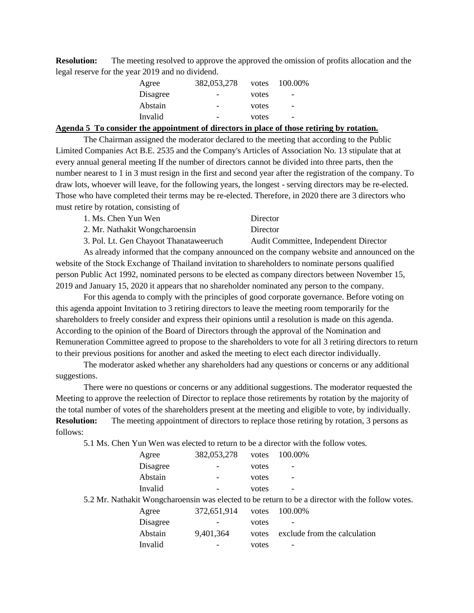**Resolution:** The meeting resolved to approve the approved the omission of profits allocation and the legal reserve for the year 2019 and no dividend.

| Agree    | 382,053,278              | votes | 100.00%                  |
|----------|--------------------------|-------|--------------------------|
| Disagree | $\overline{\phantom{a}}$ | votes | $\overline{\phantom{0}}$ |
| Abstain  | $\overline{\phantom{0}}$ | votes | $\overline{\phantom{0}}$ |
| Invalid  |                          | votes |                          |

#### **Agenda 5 To consider the appointment of directors in place of those retiring by rotation.**

The Chairman assigned the moderator declared to the meeting that according to the Public Limited Companies Act B.E. 2535 and the Company's Articles of Association No. 13 stipulate that at every annual general meeting If the number of directors cannot be divided into three parts, then the number nearest to 1 in 3 must resign in the first and second year after the registration of the company. To draw lots, whoever will leave, for the following years, the longest - serving directors may be re-elected. Those who have completed their terms may be re-elected. Therefore, in 2020 there are 3 directors who must retire by rotation, consisting of

| 1. Ms. Chen Yun Wen            | Director |
|--------------------------------|----------|
| 2. Mr. Nathakit Wongcharoensin | Director |

3. Pol. Lt. Gen Chayoot Thanataweeruch Audit Committee, Independent Director As already informed that the company announced on the company website and announced on the website of the Stock Exchange of Thailand invitation to shareholders to nominate persons qualified person Public Act 1992, nominated persons to be elected as company directors between November 15, 2019 and January 15, 2020 it appears that no shareholder nominated any person to the company.

For this agenda to comply with the principles of good corporate governance. Before voting on this agenda appoint Invitation to 3 retiring directors to leave the meeting room temporarily for the shareholders to freely consider and express their opinions until a resolution is made on this agenda. According to the opinion of the Board of Directors through the approval of the Nomination and Remuneration Committee agreed to propose to the shareholders to vote for all 3 retiring directors to return to their previous positions for another and asked the meeting to elect each director individually.

The moderator asked whether any shareholders had any questions or concerns or any additional suggestions.

There were no questions or concerns or any additional suggestions. The moderator requested the Meeting to approve the reelection of Director to replace those retirements by rotation by the majority of the total number of votes of the shareholders present at the meeting and eligible to vote, by individually. **Resolution:** The meeting appointment of directors to replace those retiring by rotation, 3 persons as follows:

5.1 Ms. Chen Yun Wen was elected to return to be a director with the follow votes.

| Agree    | 382,053,278 | votes | 100.00%                                                                                          |
|----------|-------------|-------|--------------------------------------------------------------------------------------------------|
| Disagree |             | votes |                                                                                                  |
| Abstain  |             | votes |                                                                                                  |
| Invalid  |             | votes |                                                                                                  |
|          |             |       | 5.2 Mr. Nathakit Wongcharoensin was elected to be return to be a director with the follow votes. |
| Agree    | 372,651,914 | votes | 100.00%                                                                                          |
| Disagree |             | votes |                                                                                                  |
| Abstain  | 9,401,364   | votes | exclude from the calculation                                                                     |
| Invalid  |             | votes |                                                                                                  |
|          |             |       |                                                                                                  |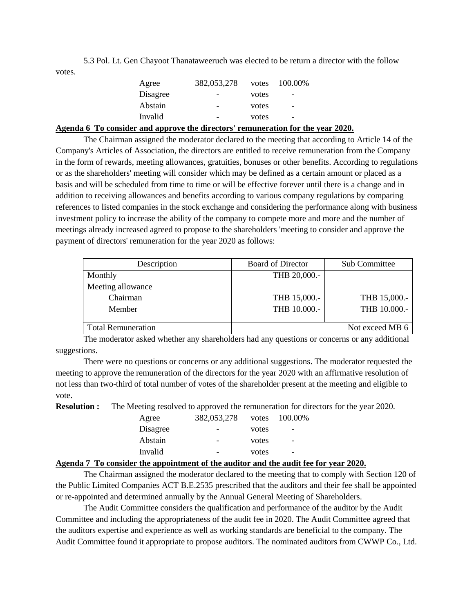5.3 Pol. Lt. Gen Chayoot Thanataweeruch was elected to be return a director with the follow votes.

| Agree    | 382,053,278              | votes | 100.00%                  |  |
|----------|--------------------------|-------|--------------------------|--|
| Disagree | $\overline{\phantom{a}}$ | votes | $\qquad \qquad -$        |  |
| Abstain  | $\overline{\phantom{0}}$ | votes | $\overline{\phantom{0}}$ |  |
| Invalid  | $\overline{\phantom{a}}$ | votes | $\overline{\phantom{0}}$ |  |

**Agenda 6 To consider and approve the directors' remuneration for the year 2020.**

The Chairman assigned the moderator declared to the meeting that according to Article 14 of the Company's Articles of Association, the directors are entitled to receive remuneration from the Company in the form of rewards, meeting allowances, gratuities, bonuses or other benefits. According to regulations or as the shareholders' meeting will consider which may be defined as a certain amount or placed as a basis and will be scheduled from time to time or will be effective forever until there is a change and in addition to receiving allowances and benefits according to various company regulations by comparing references to listed companies in the stock exchange and considering the performance along with business investment policy to increase the ability of the company to compete more and more and the number of meetings already increased agreed to propose to the shareholders 'meeting to consider and approve the payment of directors' remuneration for the year 2020 as follows:

| Description               | <b>Board of Director</b> | <b>Sub Committee</b> |
|---------------------------|--------------------------|----------------------|
| Monthly                   | THB 20,000.-             |                      |
| Meeting allowance         |                          |                      |
| Chairman                  | THB 15,000 .-            | THB 15,000.-         |
| Member                    | THB 10.000 .-            | THB 10.000 .-        |
|                           |                          |                      |
| <b>Total Remuneration</b> |                          | Not exceed MB 6      |

The moderator asked whether any shareholders had any questions or concerns or any additional suggestions.

There were no questions or concerns or any additional suggestions. The moderator requested the meeting to approve the remuneration of the directors for the year 2020 with an affirmative resolution of not less than two-third of total number of votes of the shareholder present at the meeting and eligible to vote.

**Resolution :** The Meeting resolved to approved the remuneration for directors for the year 2020.

| Agree    | 382,053,278 | votes | 100.00%                  |
|----------|-------------|-------|--------------------------|
| Disagree | -           | votes | $\overline{\phantom{0}}$ |
| Abstain  |             | votes | $\overline{\phantom{0}}$ |
| Invalid  |             | votes | $\overline{\phantom{0}}$ |

## **Agenda 7 To consider the appointment of the auditor and the audit fee for year 2020.**

The Chairman assigned the moderator declared to the meeting that to comply with Section 120 of the Public Limited Companies ACT B.E.2535 prescribed that the auditors and their fee shall be appointed or re-appointed and determined annually by the Annual General Meeting of Shareholders.

The Audit Committee considers the qualification and performance of the auditor by the Audit Committee and including the appropriateness of the audit fee in 2020. The Audit Committee agreed that the auditors expertise and experience as well as working standards are beneficial to the company. The Audit Committee found it appropriate to propose auditors. The nominated auditors from CWWP Co., Ltd.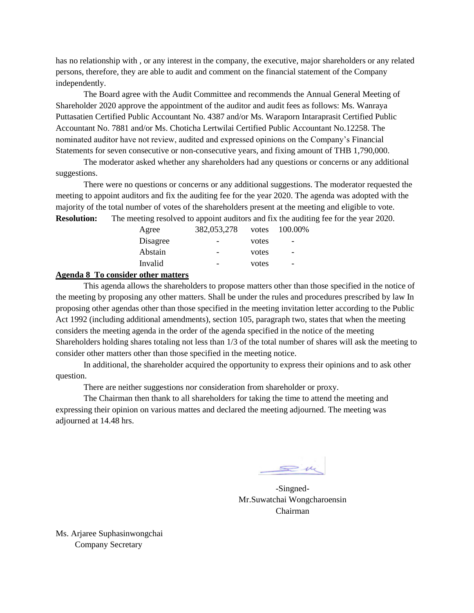has no relationship with , or any interest in the company, the executive, major shareholders or any related persons, therefore, they are able to audit and comment on the financial statement of the Company independently.

The Board agree with the Audit Committee and recommends the Annual General Meeting of Shareholder 2020 approve the appointment of the auditor and audit fees as follows: Ms. Wanraya Puttasatien Certified Public Accountant No. 4387 and/or Ms. Waraporn Intaraprasit Certified Public Accountant No. 7881 and/or Ms. Choticha Lertwilai Certified Public Accountant No.12258. The nominated auditor have not review, audited and expressed opinions on the Company's Financial Statements for seven consecutive or non-consecutive years, and fixing amount of THB 1,790,000.

The moderator asked whether any shareholders had any questions or concerns or any additional suggestions.

There were no questions or concerns or any additional suggestions. The moderator requested the meeting to appoint auditors and fix the auditing fee for the year 2020. The agenda was adopted with the majority of the total number of votes of the shareholders present at the meeting and eligible to vote. **Resolution:** The meeting resolved to appoint auditors and fix the auditing fee for the year 2020.

| Agree    | 382,053,278              | votes | 100.00%                  |
|----------|--------------------------|-------|--------------------------|
| Disagree |                          | votes | $\overline{\phantom{0}}$ |
| Abstain  | -                        | votes | $\overline{\phantom{0}}$ |
| Invalid  | $\overline{\phantom{0}}$ | votes | $\overline{\phantom{0}}$ |
|          |                          |       |                          |

#### **Agenda 8 To consider other matters**

This agenda allows the shareholders to propose matters other than those specified in the notice of the meeting by proposing any other matters. Shall be under the rules and procedures prescribed by law In proposing other agendas other than those specified in the meeting invitation letter according to the Public Act 1992 (including additional amendments), section 105, paragraph two, states that when the meeting considers the meeting agenda in the order of the agenda specified in the notice of the meeting Shareholders holding shares totaling not less than 1/3 of the total number of shares will ask the meeting to consider other matters other than those specified in the meeting notice.

In additional, the shareholder acquired the opportunity to express their opinions and to ask other question.

There are neither suggestions nor consideration from shareholder or proxy.

The Chairman then thank to all shareholders for taking the time to attend the meeting and expressing their opinion on various mattes and declared the meeting adjourned. The meeting was adjourned at 14.48 hrs.

 $\mathbf{v}$ 

-Singned-Mr.Suwatchai Wongcharoensin Chairman

Ms. Arjaree Suphasinwongchai Company Secretary